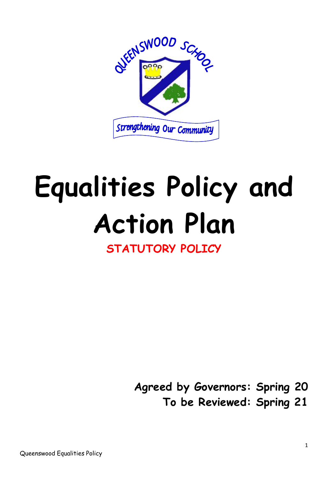

# **Equalities Policy and Action Plan STATUTORY POLICY**

**Agreed by Governors: Spring 20**

**To be Reviewed: Spring 21**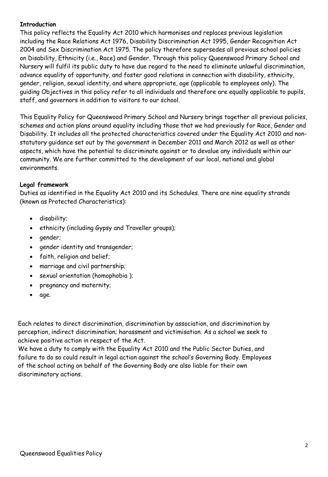#### **Introduction**

This policy reflects the Equality Act 2010 which harmonises and replaces previous legislation including the Race Relations Act 1976, Disability Discrimination Act 1995, Gender Recognition Act 2004 and Sex Discrimination Act 1975. The policy therefore supersedes all previous school policies on Disability, Ethnicity (i.e., Race) and Gender. Through this policy Queenswood Primary School and Nursery will fulfil its public duty to have due regard to the need to eliminate unlawful discrimination, advance equality of opportunity, and foster good relations in connection with disability, ethnicity, gender, religion, sexual identity, and where appropriate, age (applicable to employees only). The guiding Objectives in this policy refer to all individuals and therefore are equally applicable to pupils, staff, and governors in addition to visitors to our school.

This Equality Policy for Queenswood Primary School and Nursery brings together all previous policies, schemes and action plans around equality including those that we had previously for Race, Gender and Disability. It includes all the protected characteristics covered under the Equality Act 2010 and nonstatutory guidance set out by the government in December 2011 and March 2012 as well as other aspects, which have the potential to discriminate against or to devalue any individuals within our community. We are further committed to the development of our local, national and global environments.

# **Legal framework**

Duties as identified in the Equality Act 2010 and its Schedules. There are nine equality strands (known as Protected Characteristics):

- disability;
- ethnicity (including Gypsy and Traveller groups);
- gender;
- gender identity and transgender;
- faith, religion and belief;
- marriage and civil partnership;
- sexual orientation (homophobia );
- pregnancy and maternity;
- age.

Each relates to direct discrimination, discrimination by association, and discrimination by perception, indirect discrimination; harassment and victimisation. As a school we seek to achieve positive action in respect of the Act.

We have a duty to comply with the Equality Act 2010 and the Public Sector Duties, and failure to do so could result in legal action against the school's Governing Body. Employees of the school acting on behalf of the Governing Body are also liable for their own discriminatory actions.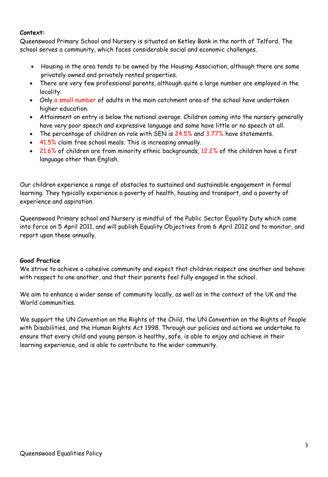#### **Context:**

Queenswood Primary School and Nursery is situated on Ketley Bank in the north of Telford. The school serves a community, which faces considerable social and economic challenges.

- Housing in the area tends to be owned by the Housing Association, although there are some privately owned and privately rented properties.
- There are very few professional parents, although quite a large number are employed in the locality.
- Only a small number of adults in the main catchment area of the school have undertaken higher education.
- Attainment on entry is below the national average. Children coming into the nursery generally have very poor speech and expressive language and some have little or no speech at all.
- The percentage of children on role with SEN is  $24.5\%$  and  $3.77\%$  have statements.
- 41.5% claim free school meals. This is increasing annually.
- 21.6% of children are from minority ethnic backgrounds, 12.2% of the children have a first language other than English.

Our children experience a range of obstacles to sustained and sustainable engagement in formal learning. They typically experience a poverty of health, housing and transport, and a poverty of experience and aspiration.

Queenswood Primary school and Nursery is mindful of the Public Sector Equality Duty which came into force on 5 April 2011, and will publish Equality Objectives from 6 April 2012 and to monitor, and report upon these annually.

#### **Good Practice**

We strive to achieve a cohesive community and expect that children respect one another and behave with respect to one another, and that their parents feel fully engaged in the school.

We aim to enhance a wider sense of community locally, as well as in the context of the UK and the World communities.

We support the UN Convention on the Rights of the Child, the UN Convention on the Rights of People with Disabilities, and the Human Rights Act 1998. Through our policies and actions we undertake to ensure that every child and young person is healthy, safe, is able to enjoy and achieve in their learning experience, and is able to contribute to the wider community.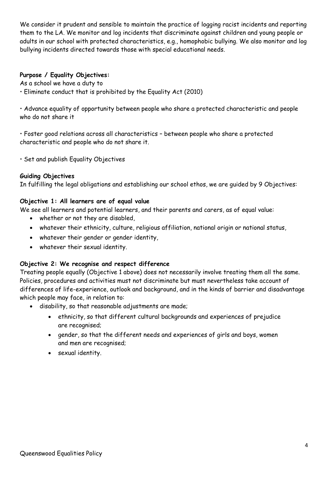We consider it prudent and sensible to maintain the practice of logging racist incidents and reporting them to the LA. We monitor and log incidents that discriminate against children and young people or adults in our school with protected characteristics, e.g., homophobic bullying. We also monitor and log bullying incidents directed towards those with special educational needs.

### **Purpose / Equality Objectives:**

As a school we have a duty to

• Eliminate conduct that is prohibited by the Equality Act (2010)

• Advance equality of opportunity between people who share a protected characteristic and people who do not share it

• Foster good relations across all characteristics – between people who share a protected characteristic and people who do not share it.

• Set and publish Equality Objectives

#### **Guiding Objectives**

In fulfilling the legal obligations and establishing our school ethos, we are guided by 9 Objectives:

#### **Objective 1: All learners are of equal value**

We see all learners and potential learners, and their parents and carers, as of equal value:

- whether or not they are disabled,
- whatever their ethnicity, culture, religious affiliation, national origin or national status,
- whatever their gender or gender identity,
- whatever their sexual identity.

# **Objective 2: We recognise and respect difference**

Treating people equally (Objective 1 above) does not necessarily involve treating them all the same. Policies, procedures and activities must not discriminate but must nevertheless take account of differences of life-experience, outlook and background, and in the kinds of barrier and disadvantage which people may face, in relation to:

- disability, so that reasonable adjustments are made;
	- ethnicity, so that different cultural backgrounds and experiences of prejudice are recognised;
	- gender, so that the different needs and experiences of girls and boys, women and men are recognised;
	- sexual identity.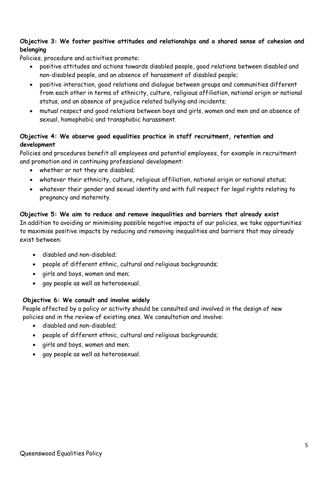# **Objective 3: We foster positive attitudes and relationships and a shared sense of cohesion and belonging**

Policies, procedure and activities promote:

- positive attitudes and actions towards disabled people, good relations between disabled and non-disabled people, and an absence of harassment of disabled people;
- positive interaction, good relations and dialogue between groups and communities different from each other in terms of ethnicity, culture, religious affiliation, national origin or national status, and an absence of prejudice related bullying and incidents;
- mutual respect and good relations between boys and girls, women and men and an absence of sexual, homophobic and transphobic harassment.

# **Objective 4: We observe good equalities practice in staff recruitment, retention and development**

Policies and procedures benefit all employees and potential employees, for example in recruitment and promotion and in continuing professional development:

- whether or not they are disabled;
- whatever their ethnicity, culture, religious affiliation, national origin or national status;
- whatever their gender and sexual identity and with full respect for legal rights relating to pregnancy and maternity.

# **Objective 5: We aim to reduce and remove inequalities and barriers that already exist**  In addition to avoiding or minimising possible negative impacts of our policies, we take opportunities to maximise positive impacts by reducing and removing inequalities and barriers that may already exist between:

- disabled and non-disabled;
- people of different ethnic, cultural and religious backgrounds;
- girls and boys, women and men;
- gay people as well as heterosexual.

#### **Objective 6: We consult and involve widely**

People affected by a policy or activity should be consulted and involved in the design of new policies and in the review of existing ones. We consultation and involve:

- disabled and non-disabled;
- people of different ethnic, cultural and religious backgrounds;
- girls and boys, women and men;
- gay people as well as heterosexual.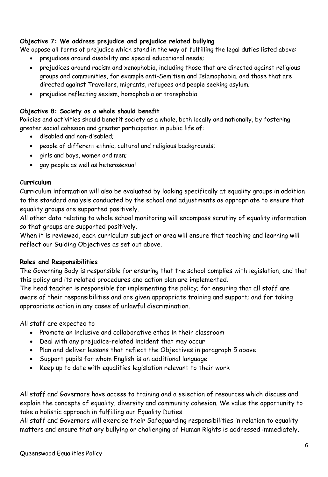# **Objective 7: We address prejudice and prejudice related bullying**

We oppose all forms of prejudice which stand in the way of fulfilling the legal duties listed above:

- prejudices around disability and special educational needs;
- prejudices around racism and xenophobia, including those that are directed against religious groups and communities, for example anti-Semitism and Islamophobia, and those that are directed against Travellers, migrants, refugees and people seeking asylum;
- prejudice reflecting sexism, homophobia or transphobia.

# **Objective 8: Society as a whole should benefit**

Policies and activities should benefit society as a whole, both locally and nationally, by fostering greater social cohesion and greater participation in public life of:

- disabled and non-disabled;
- people of different ethnic, cultural and religious backgrounds;
- girls and boys, women and men;
- gay people as well as heterosexual

# C**urriculum**

Curriculum information will also be evaluated by looking specifically at equality groups in addition to the standard analysis conducted by the school and adjustments as appropriate to ensure that equality groups are supported positively.

All other data relating to whole school monitoring will encompass scrutiny of equality information so that groups are supported positively.

When it is reviewed, each curriculum subject or area will ensure that teaching and learning will reflect our Guiding Objectives as set out above.

# **Roles and Responsibilities**

The Governing Body is responsible for ensuring that the school complies with legislation, and that this policy and its related procedures and action plan are implemented.

The head teacher is responsible for implementing the policy; for ensuring that all staff are aware of their responsibilities and are given appropriate training and support; and for taking appropriate action in any cases of unlawful discrimination.

All staff are expected to

- Promote an inclusive and collaborative ethos in their classroom
- Deal with any prejudice-related incident that may occur
- Plan and deliver lessons that reflect the Objectives in paragraph 5 above
- Support pupils for whom English is an additional language
- Keep up to date with equalities legislation relevant to their work

All staff and Governors have access to training and a selection of resources which discuss and explain the concepts of equality, diversity and community cohesion. We value the opportunity to take a holistic approach in fulfilling our Equality Duties.

All staff and Governors will exercise their Safeguarding responsibilities in relation to equality matters and ensure that any bullying or challenging of Human Rights is addressed immediately.